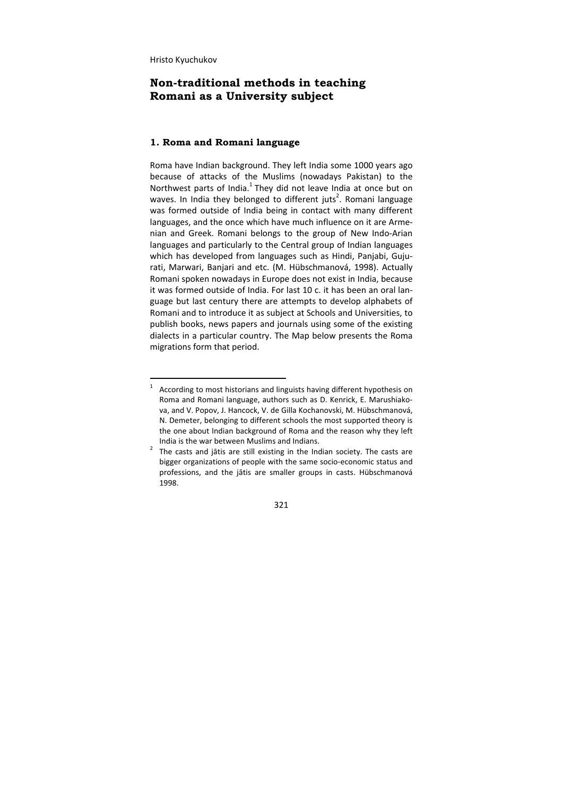## **Non-traditional methods in teaching Romani as a University subject**

## **1. Roma and Romani language**

Roma have Indian background. They left India some 1000 years ago because of attacks of the Muslims (nowadays Pakistan) to the Northwest parts of India. $<sup>1</sup>$  They did not leave India at once but on</sup> waves. In India they belonged to different juts<sup>2</sup>. Romani language was formed outside of India being in contact with many different languages, and the once which have much influence on it are Arme‐ nian and Greek. Romani belongs to the group of New Indo‐Arian languages and particularly to the Central group of Indian languages which has developed from languages such as Hindi, Panjabi, Gujurati, Marwari, Banjari and etc. (M. Hübschmanová, 1998). Actually Romani spoken nowadays in Europe does not exist in India, because it was formed outside of India. For last 10 c. it has been an oral language but last century there are attempts to develop alphabets of Romani and to introduce it as subject at Schools and Universities, to publish books, news papers and journals using some of the existing dialects in a particular country. The Map below presents the Roma migrations form that period.

 $\frac{1}{1}$  According to most historians and linguists having different hypothesis on Roma and Romani language, authors such as D. Kenrick, E. Marushiako‐ va, and V. Popov, J. Hancock, V. de Gilla Kochanovski, M. Hübschmanová, N. Demeter, belonging to different schools the most supported theory is the one about Indian background of Roma and the reason why they left India is the war between Muslims and Indians.

 The casts and jātis are still existing in the Indian society. The casts are bigger organizations of people with the same socio‐economic status and professions, and the jātis are smaller groups in casts. Hübschmanová 1998.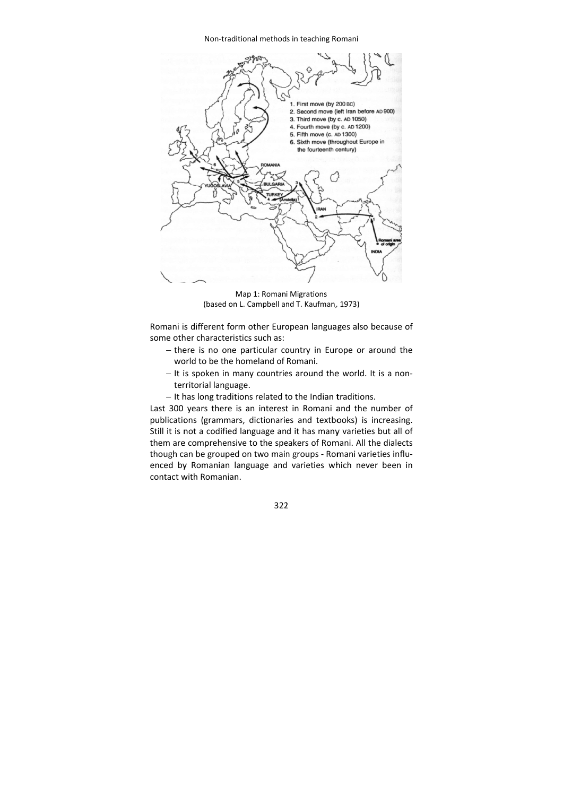Non-traditional methods in teaching Romani



(based on L. Campbell and T. Kaufman, 1973) Map 1: Roman i Migrations

Romani is different form other European languages also because of some other characteristics such as:

- there is no one particular country in Europe or around the world to be the homeland of Romani.
- It is spoken in many countries around the world. It is a nonterritorial language.
- It has long traditions related to the Indian traditions.

Last 300 years there is an interest in Romani and the number of publications (grammars, dictionaries and textbooks) is increasing. Still it is not a codified language and it has many varieties but all of them are comprehensive to the speakers of Romani. All the dialects though can be grouped on two main groups - Romani varieties influenced by Romanian language and varieties which never been in contact with Romanian.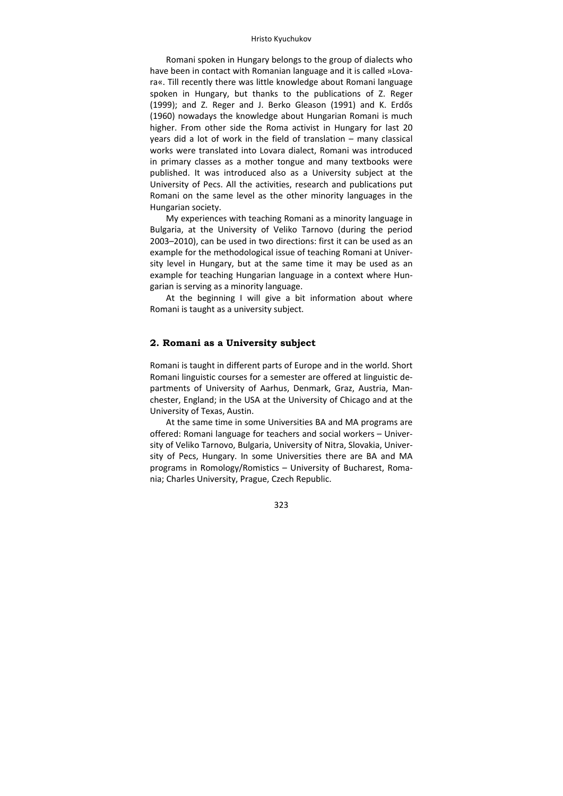Romani spoken in Hungary belongs to the group of dialects who have been in contact with Romanian language and it is called »Lovara«. Till recently there was little knowledge about Romani language spoken in Hungary, but thanks to the publications of Z. Reger (1999); and Z. Reger and J. Berko Gleason (1991) and K. Erdős (1960) nowadays the knowledge about Hungarian Romani is much higher. From other side the Roma activist in Hungary for last 20 years did a lot of work in the field of translation – many classical works were translated into Lovara dialect, Romani was introduced in primary classes as a mother tongue and many textbooks were published. It was introduced also as a University subject at the University of Pecs. All the activities, research and publications put Romani on the same level as the other minority languages in the Hungarian society.

My experiences with teaching Romani as a minority language in Bulgaria, at the University of Veliko Tarnovo (during the period 2003–2010), can be used in two directions: first it can be used as an example for the methodological issue of teaching Romani at Univer‐ sity level in Hungary, but at the same time it may be used as an example for teaching Hungarian language in a context where Hungarian is serving as a minority language.

At the beginning I will give a bit information about where Romani is taught as a university subject.

## **2. Romani as a University subject**

Romani is taught in different parts of Europe and in the world. Short Romani linguistic courses for a semester are offered at linguistic de‐ partments of University of Aarhus, Denmark, Graz, Austria, Man‐ chester, England; in the USA at the University of Chicago and at the University of Texas, Austin.

At the same time in some Universities BA and MA programs are offered: Romani language for teachers and social workers – Univer‐ sity of Veliko Tarnovo, Bulgaria, University of Nitra, Slovakia, Univer‐ sity of Pecs, Hungary. In some Universities there are BA and MA programs in Romology/Romistics – University of Bucharest, Roma‐ nia; Charles University, Prague, Czech Republic.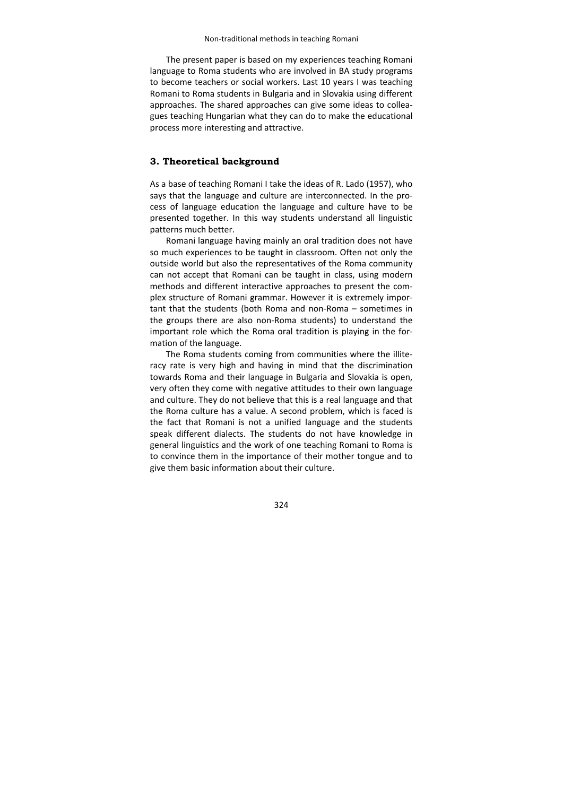#### Non‐traditional methods in teaching Romani

The present paper is based on my experiences teaching Romani language to Roma students who are involved in BA study programs to become teachers or social workers. Last 10 years I was teaching Romani to Roma students in Bulgaria and in Slovakia using different approaches. The shared approaches can give some ideas to collea‐ gues teaching Hungarian what they can do to make the educational process more interesting and attractive.

## **3. Theoretical background**

As a base of teaching Romani I take the ideas of R. Lado (1957), who says that the language and culture are interconnected. In the process of language education the language and culture have to be presented together. In this way students understand all linguistic patterns much better.

Romani language having mainly an oral tradition does not have so much experiences to be taught in classroom. Often not only the outside world but also the representatives of the Roma community can not accept that Romani can be taught in class, using modern methods and different interactive approaches to present the com‐ plex structure of Romani grammar. However it is extremely impor‐ tant that the students (both Roma and non‐Roma – sometimes in the groups there are also non‐Roma students) to understand the important role which the Roma oral tradition is playing in the for‐ mation of the language.

The Roma students coming from communities where the illiteracy rate is very high and having in mind that the discrimination towards Roma and their language in Bulgaria and Slovakia is open, very often they come with negative attitudes to their own language and culture. They do not believe that this is a real language and that the Roma culture has a value. A second problem, which is faced is the fact that Romani is not a unified language and the students speak different dialects. The students do not have knowledge in general linguistics and the work of one teaching Romani to Roma is to convince them in the importance of their mother tongue and to give them basic information about their culture.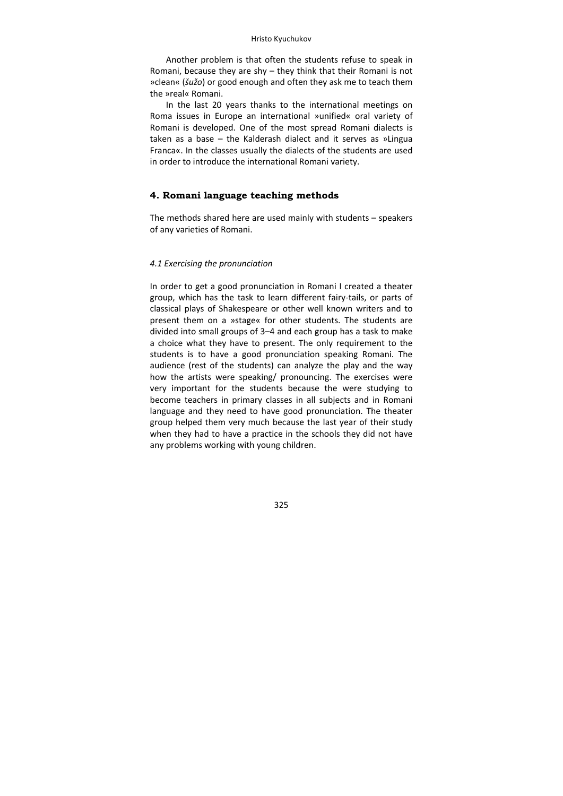Another problem is that often the students refuse to speak in Romani, because they are shy – they think that their Romani is not »clean« (*šužo*) or good enough and often they ask me to teach them the »real« Romani.

In the last 20 years thanks to the international meetings on Roma issues in Europe an international »unified« oral variety of Romani is developed. One of the most spread Romani dialects is taken as a base – the Kalderash dialect and it serves as »Lingua Franca«. In the classes usually the dialects of the students are used in order to introduce the international Romani variety.

### **4. Romani language teaching methods**

The methods shared here are used mainly with students – speakers of any varieties of Romani.

#### *4.1 Exercising the pronunciation*

In order to get a good pronunciation in Romani I created a theater group, which has the task to learn different fairy‐tails, or parts of classical plays of Shakespeare or other well known writers and to present them on a »stage« for other students. The students are divided into small groups of 3–4 and each group has a task to make a choice what they have to present. The only requirement to the students is to have a good pronunciation speaking Romani. The audience (rest of the students) can analyze the play and the way how the artists were speaking/ pronouncing. The exercises were very important for the students because the were studying to become teachers in primary classes in all subjects and in Romani language and they need to have good pronunciation. The theater group helped them very much because the last year of their study when they had to have a practice in the schools they did not have any problems working with young children.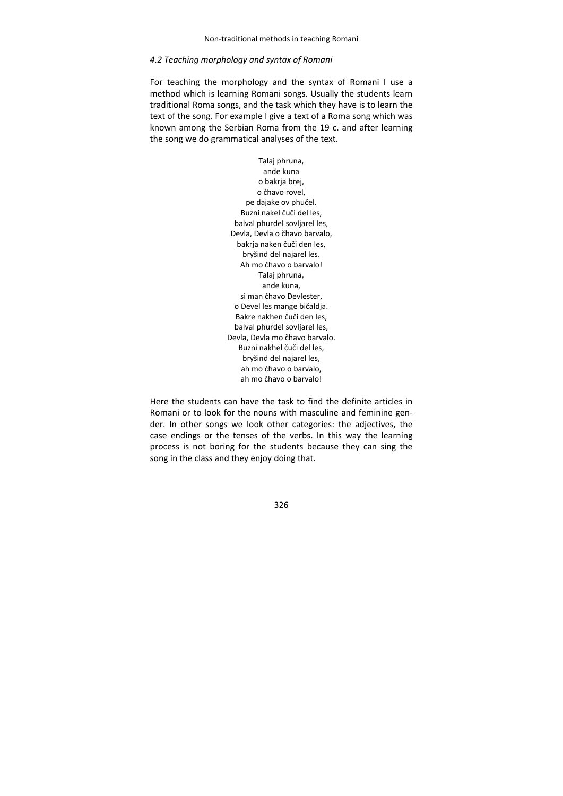#### *4.2 Teaching morphology and syntax of Romani*

For teaching the morphology and the syntax of Romani I use a method which is learning Romani songs. Usually the students learn traditional Roma songs, and the task which they have is to learn the text of the song. For example I give a text of a Roma song which was known among the Serbian Roma from the 19 c. and after learning the song we do grammatical analyses of the text.

> Talaj phruna, аnde kuna о bakrja brej, о čhavo rovel, рe dajake ov phučel. Buzni nakel čuči del les, balval phurdel sovljarel les, Devla, Devla o čhavo barvalo, bakrja naken čuči den les, bryšind del najarel les. Ah mo čhavo o barvalo! Talaj phruna, ande kuna, si man čhavo Devlester, o Devel les mange bičaldja. Bakre nakhen čuči den les, balval phurdel sovljarel les, Devla, Devla mo čhavo barvalo. Buzni nakhel čuči del les, bryšind del najarel les, ah mo čhavo o barvalo, ah mo čhavo o barvalo!

Here the students can have the task to find the definite articles in Romani or to look for the nouns with masculine and feminine gen‐ der. In other songs we look other categories: the adjectives, the case endings or the tenses of the verbs. In this way the learning process is not boring for the students because they can sing the song in the class and they enjoy doing that.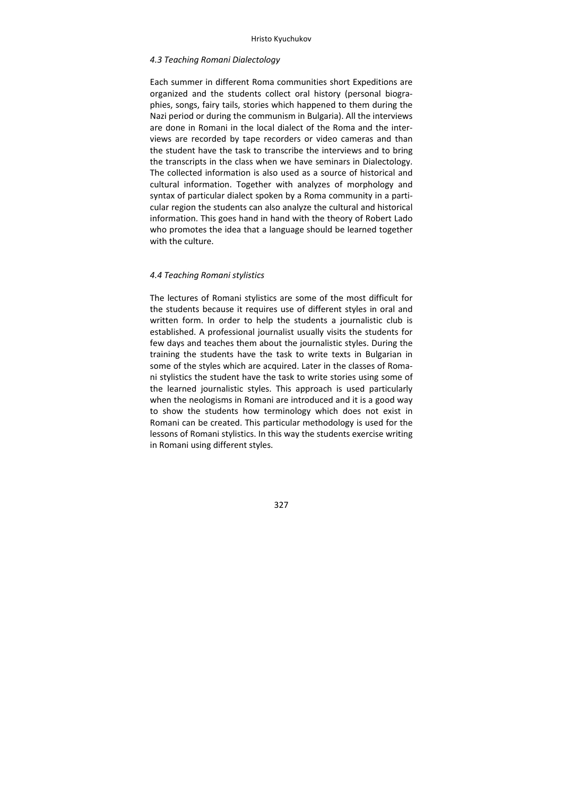#### *4.3 Teaching Romani Dialectology*

Each summer in different Roma communities short Expeditions are organized and the students collect oral history (personal biogra‐ phies, songs, fairy tails, stories which happened to them during the Nazi period or during the communism in Bulgaria). All the interviews are done in Romani in the local dialect of the Roma and the inter‐ views are recorded by tape recorders or video cameras and than the student have the task to transcribe the interviews and to bring the transcripts in the class when we have seminars in Dialectology. The collected information is also used as a source of historical and cultural information. Together with analyzes of morphology and syntax of particular dialect spoken by a Roma community in a parti‐ cular region the students can also analyze the cultural and historical information. This goes hand in hand with the theory of Robert Lado who promotes the idea that a language should be learned together with the culture.

#### *4.4 Teaching Romani stylistics*

The lectures of Romani stylistics are some of the most difficult for the students because it requires use of different styles in oral and written form. In order to help the students a journalistic club is established. A professional journalist usually visits the students for few days and teaches them about the journalistic styles. During the training the students have the task to write texts in Bulgarian in some of the styles which are acquired. Later in the classes of Romani stylistics the student have the task to write stories using some of the learned journalistic styles. This approach is used particularly when the neologisms in Romani are introduced and it is a good way to show the students how terminology which does not exist in Romani can be created. This particular methodology is used for the lessons of Romani stylistics. In this way the students exercise writing in Romani using different styles.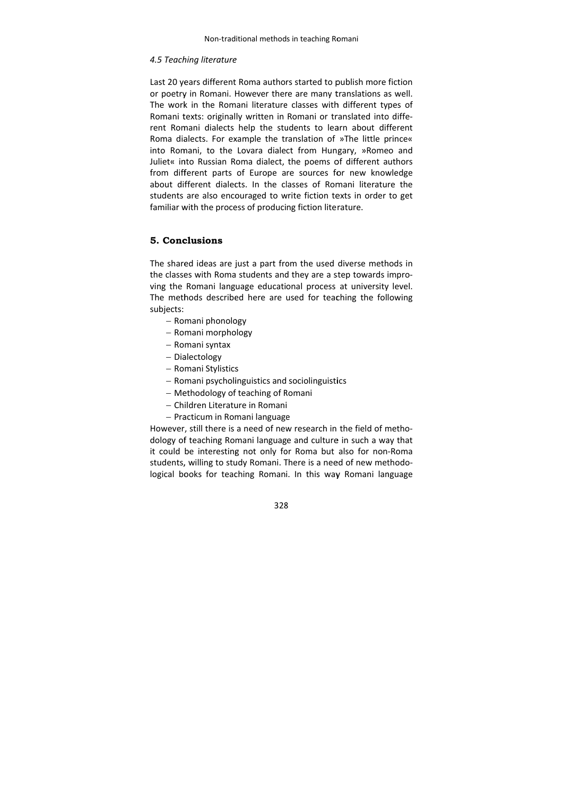#### *4.5 Teach hing literature e*

Last 20 years different Roma authors started to publish more fiction or poetry in Romani. However there are many translations as well. The work in the Romani literature classes with different types of Romani texts: originally written in Romani or translated into different Romani dialects help the students to learn about different Roma dialects. For example the translation of »The little prince« into Romani, to the Lovara dialect from Hungary, »Romeo and Juliet« into Russian Roma dialect, the poems of different authors from different parts of Europe are sources for new knowledge about different dialects. In the classes of Romani literature the students are also encouraged to write fiction texts in order to get familiar with the process of producing fiction literature.

#### **5. Conc clusions**

The shared ideas are just a part from the used diverse methods in the classes with Roma students and they are a step towards improving the Romani language educational process at university level. The methods described here are used for teaching the following subjects:

- Romani phonology
- Romani morphology
- Ro mani syntax
- Dialectology
- Romani Stylistics
- Romani Stylistics<br>– Romani psycholinguistics and sociolinguistics
- Methodology of teaching of Romani
- Children Literature in Romani – Children Literature in Romani<br>– Practicum in Romani language
- 

However, still there is a need of new research in the field of methodology of teaching Romani language and culture in such a way that it could be interesting not only for Roma but also for non-Roma students, willing to study Romani. There is a need of new methodological books for teaching Romani. In this way Romani language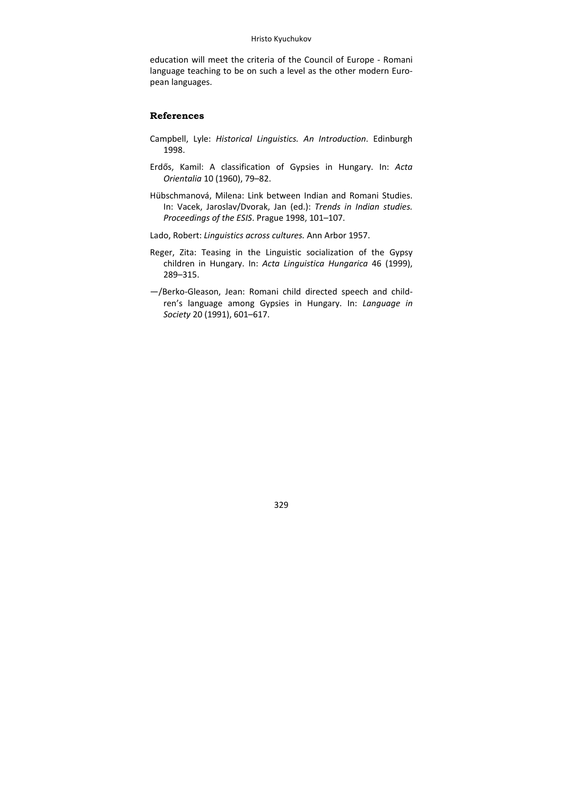education will meet the criteria of the Council of Europe ‐ Romani language teaching to be on such a level as the other modern European languages.

#### **References**

- Campbell, Lyle: *Historical Linguistics. An Introduction*. Edinburgh 1998.
- Erdős, Kamil: A classification of Gypsies in Hungary. In: *Acta Orientalia* 10 (1960), 79–82.
- Hübschmanová, Milena: Link between Indian and Romani Studies. In: Vacek, Jaroslav/Dvorak, Jan (ed.): *Trends in Indian studies. Proceedings of the ESIS*. Prague 1998, 101–107.
- Lado, Robert: *Linguistics across cultures.* Ann Arbor 1957.
- Reger, Zita: Teasing in the Linguistic socialization of the Gypsy children in Hungary. In: *Acta Linguistica Hungarica* 46 (1999), 289–315.
- —/Berko‐Gleason, Jean: Romani child directed speech and child‐ ren's language among Gypsies in Hungary. In: *Language in Society* 20 (1991), 601–617.